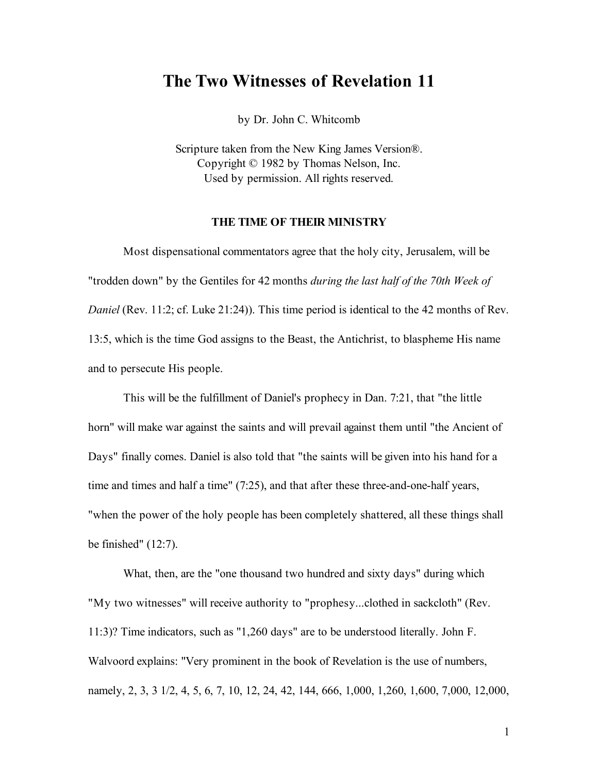# **The Two Witnesses of Revelation 11**

by Dr. John C. Whitcomb

Scripture taken from the New King James Version®. Copyright © 1982 by Thomas Nelson, Inc. Used by permission. All rights reserved.

# **THE TIME OF THEIR MINISTRY**

Most dispensational commentators agree that the holy city, Jerusalem, will be "trodden down" by the Gentiles for 42 months *during the last half of the 70th Week of Daniel* (Rev. 11:2; cf. Luke 21:24)). This time period is identical to the 42 months of Rev. 13:5, which is the time God assigns to the Beast, the Antichrist, to blaspheme His name and to persecute His people.

This will be the fulfillment of Daniel's prophecy in Dan. 7:21, that "the little horn" will make war against the saints and will prevail against them until "the Ancient of Days" finally comes. Daniel is also told that "the saints will be given into his hand for a time and times and half a time" (7:25), and that after these three-and-one-half years, "when the power of the holy people has been completely shattered, all these things shall be finished" (12:7).

What, then, are the "one thousand two hundred and sixty days" during which "My two witnesses" will receive authority to "prophesy...clothed in sackcloth" (Rev. 11:3)? Time indicators, such as "1,260 days" are to be understood literally. John F. Walvoord explains: "Very prominent in the book of Revelation is the use of numbers, namely, 2, 3, 3 1/2, 4, 5, 6, 7, 10, 12, 24, 42, 144, 666, 1,000, 1,260, 1,600, 7,000, 12,000,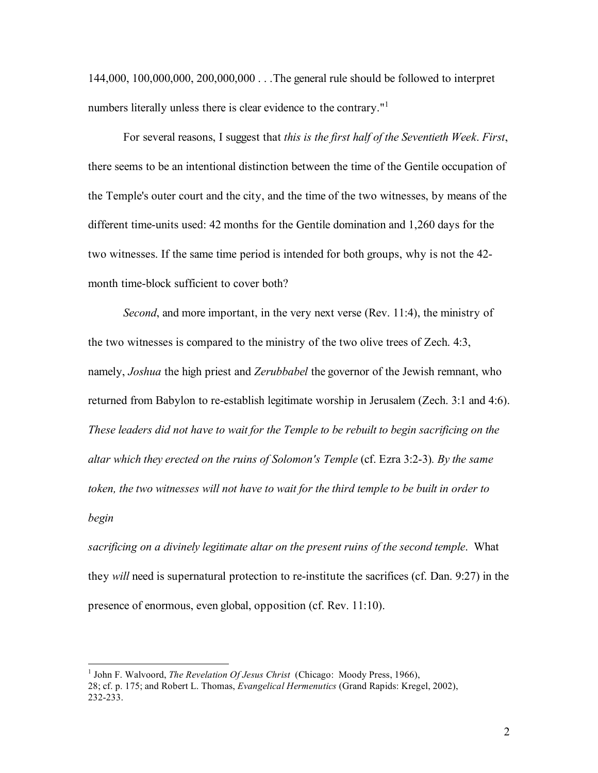144,000, 100,000,000, 200,000,000 . . .The general rule should be followed to interpret numbers literally unless there is clear evidence to the contrary."<sup>1</sup>

For several reasons, I suggest that *this is the first half of the Seventieth Week*. *First*, there seems to be an intentional distinction between the time of the Gentile occupation of the Temple's outer court and the city, and the time of the two witnesses, by means of the different time-units used: 42 months for the Gentile domination and 1,260 days for the two witnesses. If the same time period is intended for both groups, why is not the 42 month time-block sufficient to cover both?

*Second*, and more important, in the very next verse (Rev. 11:4), the ministry of the two witnesses is compared to the ministry of the two olive trees of Zech. 4:3, namely, *Joshua* the high priest and *Zerubbabel* the governor of the Jewish remnant, who returned from Babylon to re-establish legitimate worship in Jerusalem (Zech. 3:1 and 4:6). *These leaders did not have to wait for the Temple to be rebuilt to begin sacrificing on the altar which they erected on the ruins of Solomon's Temple* (cf. Ezra 3:2-3)*. By the same token, the two witnesses will not have to wait for the third temple to be built in order to begin*

*sacrificing on a divinely legitimate altar on the present ruins of the second temple*. What they *will* need is supernatural protection to re-institute the sacrifices (cf. Dan. 9:27) in the presence of enormous, even global, opposition (cf. Rev. 11:10).

 <sup>1</sup> John F. Walvoord, *The Revelation Of Jesus Christ* (Chicago: Moody Press, 1966),

<sup>28;</sup> cf. p. 175; and Robert L. Thomas, *Evangelical Hermenutics* (Grand Rapids: Kregel, 2002), 232-233.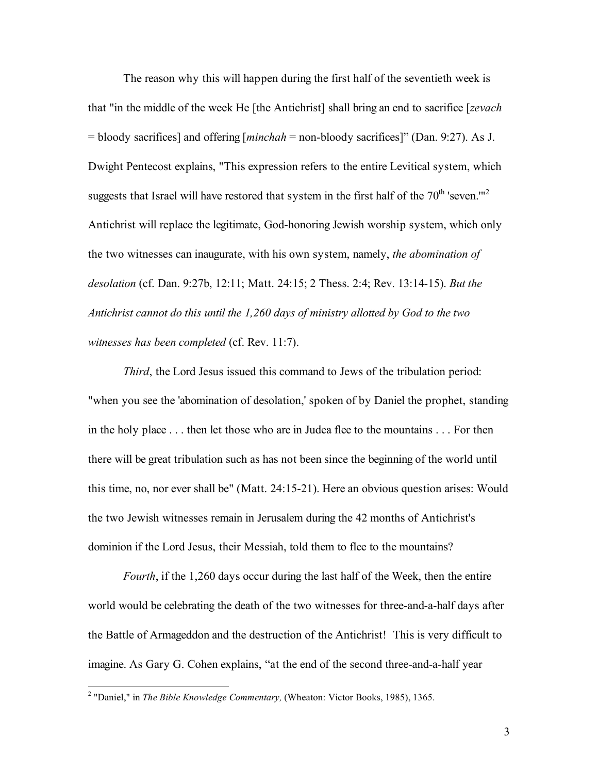The reason why this will happen during the first half of the seventieth week is that "in the middle of the week He [the Antichrist] shall bring an end to sacrifice [*zevach* = bloody sacrifices] and offering [*minchah* = non-bloody sacrifices]" (Dan. 9:27). As J. Dwight Pentecost explains, "This expression refers to the entire Levitical system, which suggests that Israel will have restored that system in the first half of the  $70<sup>th</sup>$  'seven.'"<sup>2</sup> Antichrist will replace the legitimate, God-honoring Jewish worship system, which only the two witnesses can inaugurate, with his own system, namely, *the abomination of desolation* (cf. Dan. 9:27b, 12:11; Matt. 24:15; 2 Thess. 2:4; Rev. 13:14-15). *But the Antichrist cannot do this until the 1,260 days of ministry allotted by God to the two witnesses has been completed* (cf. Rev. 11:7).

*Third*, the Lord Jesus issued this command to Jews of the tribulation period: "when you see the 'abomination of desolation,' spoken of by Daniel the prophet, standing in the holy place . . . then let those who are in Judea flee to the mountains . . . For then there will be great tribulation such as has not been since the beginning of the world until this time, no, nor ever shall be" (Matt. 24:15-21). Here an obvious question arises: Would the two Jewish witnesses remain in Jerusalem during the 42 months of Antichrist's dominion if the Lord Jesus, their Messiah, told them to flee to the mountains?

*Fourth*, if the 1,260 days occur during the last half of the Week, then the entire world would be celebrating the death of the two witnesses for three-and-a-half days after the Battle of Armageddon and the destruction of the Antichrist! This is very difficult to imagine. As Gary G. Cohen explains, "at the end of the second three-and-a-half year

 <sup>2</sup> "Daniel," in *The Bible Knowledge Commentary,* (Wheaton: Victor Books, 1985), 1365.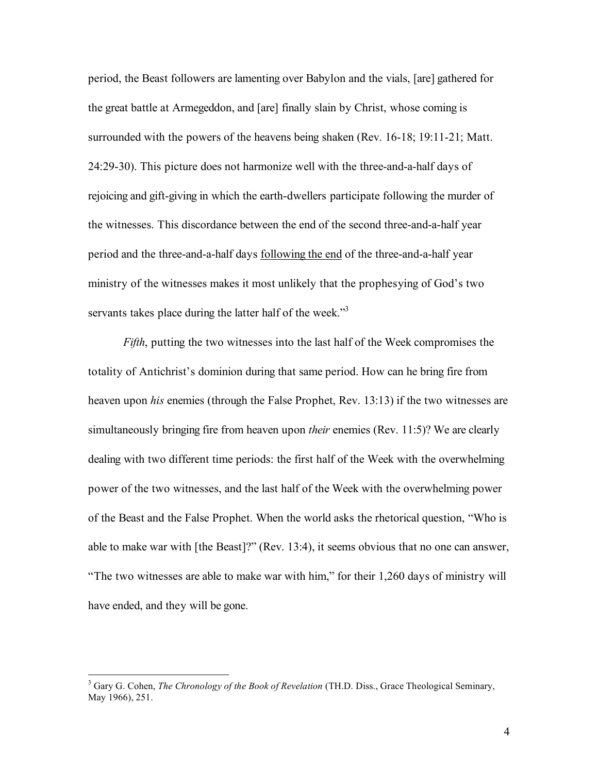period, the Beast followers are lamenting over Babylon and the vials, [are] gathered for the great battle at Armegeddon, and [are] finally slain by Christ, whose coming is surrounded with the powers of the heavens being shaken (Rev. 16-18; 19:11-21; Matt. 24:29-30). This picture does not harmonize well with the three-and-a-half days of rejoicing and gift-giving in which the earth-dwellers participate following the murder of the witnesses. This discordance between the end of the second three-and-a-half year period and the three-and-a-half days following the end of the three-and-a-half year ministry of the witnesses makes it most unlikely that the prophesying of God's two servants takes place during the latter half of the week."<sup>3</sup>

*Fifth*, putting the two witnesses into the last half of the Week compromises the totality of Antichrist's dominion during that same period. How can he bring fire from heaven upon *his* enemies (through the False Prophet, Rev. 13:13) if the two witnesses are simultaneously bringing fire from heaven upon *their* enemies (Rev. 11:5)? We are clearly dealing with two different time periods: the first half of the Week with the overwhelming power of the two witnesses, and the last half of the Week with the overwhelming power of the Beast and the False Prophet. When the world asks the rhetorical question, "Who is able to make war with [the Beast]?" (Rev. 13:4), it seems obvious that no one can answer, "The two witnesses are able to make war with him," for their 1,260 days of ministry will have ended, and they will be gone.

 <sup>3</sup> Gary G. Cohen, *The Chronology of the Book of Revelation* (TH.D. Diss., Grace Theological Seminary, May 1966), 251.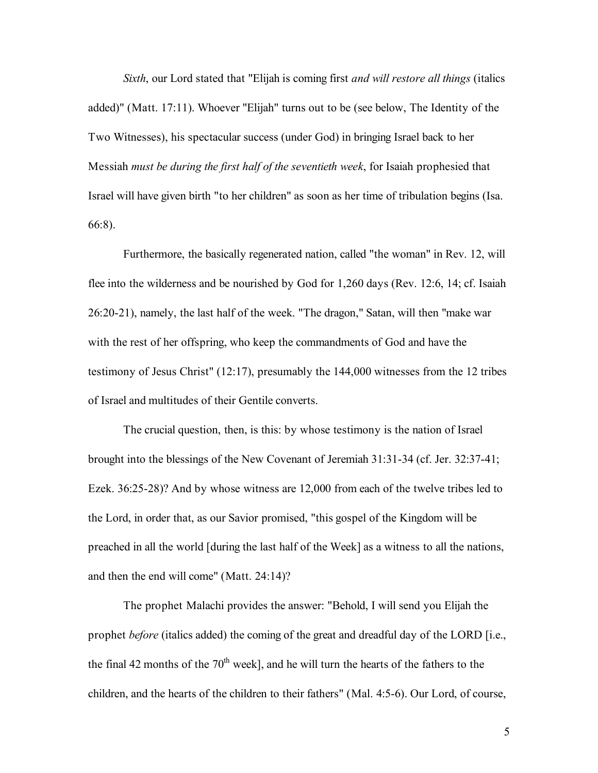*Sixth*, our Lord stated that "Elijah is coming first *and will restore all things* (italics added)" (Matt. 17:11). Whoever "Elijah" turns out to be (see below, The Identity of the Two Witnesses), his spectacular success (under God) in bringing Israel back to her Messiah *must be during the first half of the seventieth week*, for Isaiah prophesied that Israel will have given birth "to her children" as soon as her time of tribulation begins (Isa. 66:8).

Furthermore, the basically regenerated nation, called "the woman" in Rev. 12, will flee into the wilderness and be nourished by God for 1,260 days (Rev. 12:6, 14; cf. Isaiah 26:20-21), namely, the last half of the week. "The dragon," Satan, will then "make war with the rest of her offspring, who keep the commandments of God and have the testimony of Jesus Christ" (12:17), presumably the 144,000 witnesses from the 12 tribes of Israel and multitudes of their Gentile converts.

The crucial question, then, is this: by whose testimony is the nation of Israel brought into the blessings of the New Covenant of Jeremiah 31:31-34 (cf. Jer. 32:37-41; Ezek. 36:25-28)? And by whose witness are 12,000 from each of the twelve tribes led to the Lord, in order that, as our Savior promised, "this gospel of the Kingdom will be preached in all the world [during the last half of the Week] as a witness to all the nations, and then the end will come" (Matt. 24:14)?

The prophet Malachi provides the answer: "Behold, I will send you Elijah the prophet *before* (italics added) the coming of the great and dreadful day of the LORD [i.e., the final 42 months of the  $70<sup>th</sup>$  week], and he will turn the hearts of the fathers to the children, and the hearts of the children to their fathers" (Mal. 4:5-6). Our Lord, of course,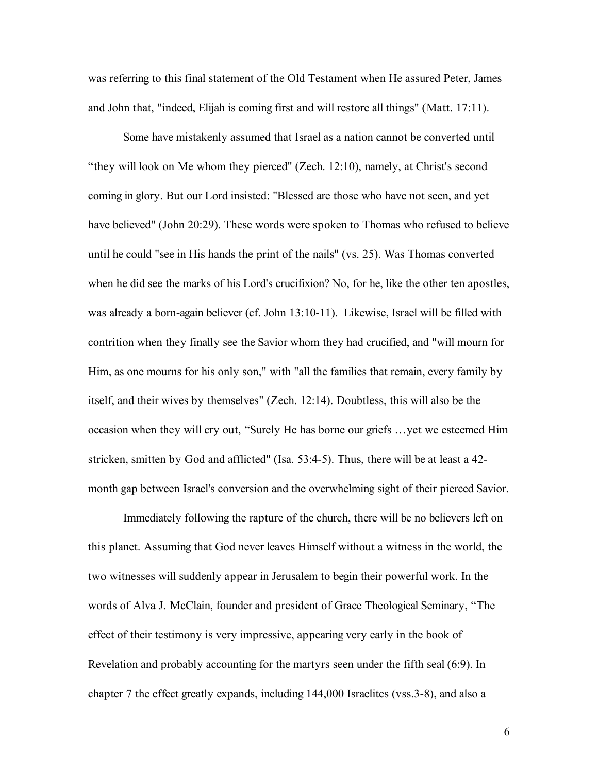was referring to this final statement of the Old Testament when He assured Peter, James and John that, "indeed, Elijah is coming first and will restore all things" (Matt. 17:11).

Some have mistakenly assumed that Israel as a nation cannot be converted until "they will look on Me whom they pierced" (Zech. 12:10), namely, at Christ's second coming in glory. But our Lord insisted: "Blessed are those who have not seen, and yet have believed" (John 20:29). These words were spoken to Thomas who refused to believe until he could "see in His hands the print of the nails" (vs. 25). Was Thomas converted when he did see the marks of his Lord's crucifixion? No, for he, like the other ten apostles, was already a born-again believer (cf. John 13:10-11). Likewise, Israel will be filled with contrition when they finally see the Savior whom they had crucified, and "will mourn for Him, as one mourns for his only son," with "all the families that remain, every family by itself, and their wives by themselves" (Zech. 12:14). Doubtless, this will also be the occasion when they will cry out, "Surely He has borne our griefs …yet we esteemed Him stricken, smitten by God and afflicted" (Isa. 53:4-5). Thus, there will be at least a 42 month gap between Israel's conversion and the overwhelming sight of their pierced Savior.

Immediately following the rapture of the church, there will be no believers left on this planet. Assuming that God never leaves Himself without a witness in the world, the two witnesses will suddenly appear in Jerusalem to begin their powerful work. In the words of Alva J. McClain, founder and president of Grace Theological Seminary, "The effect of their testimony is very impressive, appearing very early in the book of Revelation and probably accounting for the martyrs seen under the fifth seal (6:9). In chapter 7 the effect greatly expands, including 144,000 Israelites (vss.3-8), and also a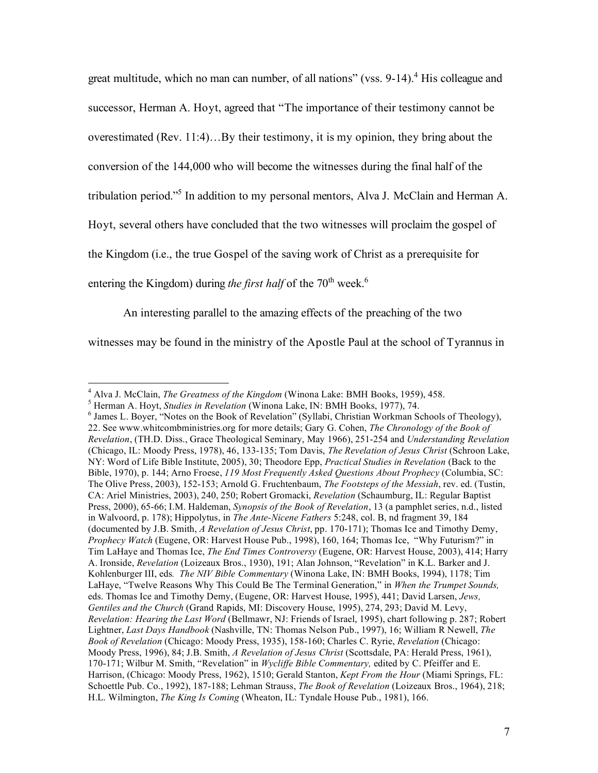great multitude, which no man can number, of all nations" (vss. 9-14).<sup>4</sup> His colleague and successor, Herman A. Hoyt, agreed that "The importance of their testimony cannot be overestimated (Rev. 11:4)…By their testimony, it is my opinion, they bring about the conversion of the 144,000 who will become the witnesses during the final half of the tribulation period." <sup>5</sup> In addition to my personal mentors, Alva J. McClain and Herman A. Hoyt, several others have concluded that the two witnesses will proclaim the gospel of the Kingdom (i.e., the true Gospel of the saving work of Christ as a prerequisite for entering the Kingdom) during *the first half* of the 70<sup>th</sup> week.<sup>6</sup>

An interesting parallel to the amazing effects of the preaching of the two witnesses may be found in the ministry of the Apostle Paul at the school of Tyrannus in

<sup>&</sup>lt;sup>4</sup> Alva J. McClain, *The Greatness of the Kingdom* (Winona Lake: BMH Books, 1959), 458.<br><sup>5</sup> Herman A. Hoyt, *Studies in Revelation* (Winona Lake, IN: BMH Books, 1977), 74.<br><sup>6</sup> James L. Boyer, "Notes on the Book of Revela 22. See www.whitcombministries.org for more details; Gary G. Cohen, *The Chronology of the Book of Revelation*, (TH.D. Diss., Grace Theological Seminary, May 1966), 251-254 and *Understanding Revelation* (Chicago, IL: Moody Press, 1978), 46, 133-135; Tom Davis, *The Revelation of Jesus Christ* (Schroon Lake, NY: Word of Life Bible Institute, 2005), 30; Theodore Epp, *Practical Studies in Revelation* (Back to the Bible, 1970), p. 144; Arno Froese, *119 Most Frequently Asked Questions About Prophecy* (Columbia, SC: The Olive Press, 2003), 152-153; Arnold G. Fruchtenbaum, *The Footsteps of the Messiah*, rev. ed. (Tustin, CA: Ariel Ministries, 2003), 240, 250; Robert Gromacki, *Revelation* (Schaumburg, IL: Regular Baptist Press, 2000), 65-66; I.M. Haldeman, *Synopsis of the Book of Revelation*, 13 (a pamphlet series, n.d., listed in Walvoord, p. 178); Hippolytus, in *The Ante-Nicene Fathers* 5:248, col. B, nd fragment 39, 184 (documented by J.B. Smith, *A Revelation of Jesus Christ*, pp. 170-171); Thomas Ice and Timothy Demy, *Prophecy Watch* (Eugene, OR: Harvest House Pub., 1998), 160, 164; Thomas Ice, "Why Futurism?" in Tim LaHaye and Thomas Ice, *The End Times Controversy* (Eugene, OR: Harvest House, 2003), 414; Harry A. Ironside, *Revelation* (Loizeaux Bros., 1930), 191; Alan Johnson, "Revelation" in K.L. Barker and J. Kohlenburger III, eds*. The NIV Bible Commentary* (Winona Lake, IN: BMH Books, 1994), 1178; Tim LaHaye, "Twelve Reasons Why This Could Be The Terminal Generation," in *When the Trumpet Sounds,* eds. Thomas Ice and Timothy Demy, (Eugene, OR: Harvest House, 1995), 441; David Larsen, *Jews, Gentiles and the Church* (Grand Rapids, MI: Discovery House, 1995), 274, 293; David M. Levy, *Revelation: Hearing the Last Word* (Bellmawr, NJ: Friends of Israel, 1995), chart following p. 287; Robert Lightner, *Last Days Handbook* (Nashville, TN: Thomas Nelson Pub., 1997), 16; William R Newell, *The Book of Revelation* (Chicago: Moody Press, 1935), 158-160; Charles C. Ryrie, *Revelation* (Chicago: Moody Press, 1996), 84; J.B. Smith, *A Revelation of Jesus Christ* (Scottsdale, PA: Herald Press, 1961), 170-171; Wilbur M. Smith, "Revelation" in *Wycliffe Bible Commentary,* edited by C. Pfeiffer and E. Harrison, (Chicago: Moody Press, 1962), 1510; Gerald Stanton, *Kept From the Hour* (Miami Springs, FL: Schoettle Pub. Co., 1992), 187-188; Lehman Strauss, *The Book of Revelation* (Loizeaux Bros., 1964), 218; H.L. Wilmington, *The King Is Coming* (Wheaton, IL: Tyndale House Pub., 1981), 166.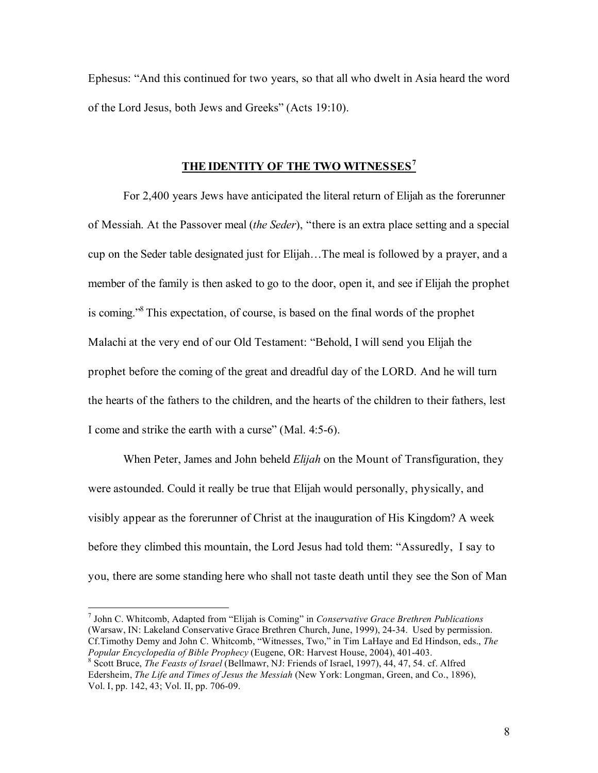Ephesus: "And this continued for two years, so that all who dwelt in Asia heard the word of the Lord Jesus, both Jews and Greeks" (Acts 19:10).

## **THE IDENTITY OF THE TWO WITNESSES<sup>7</sup>**

For 2,400 years Jews have anticipated the literal return of Elijah as the forerunner of Messiah. At the Passover meal (*the Seder*), "there is an extra place setting and a special cup on the Seder table designated just for Elijah…The meal is followed by a prayer, and a member of the family is then asked to go to the door, open it, and see if Elijah the prophet is coming." <sup>8</sup> This expectation, of course, is based on the final words of the prophet Malachi at the very end of our Old Testament: "Behold, I will send you Elijah the prophet before the coming of the great and dreadful day of the LORD. And he will turn the hearts of the fathers to the children, and the hearts of the children to their fathers, lest I come and strike the earth with a curse" (Mal. 4:5-6).

When Peter, James and John beheld *Elijah* on the Mount of Transfiguration, they were astounded. Could it really be true that Elijah would personally, physically, and visibly appear as the forerunner of Christ at the inauguration of His Kingdom? A week before they climbed this mountain, the Lord Jesus had told them: "Assuredly, I say to you, there are some standing here who shall not taste death until they see the Son of Man

 7 John C. Whitcomb, Adapted from "Elijah is Coming" in *Conservative Grace Brethren Publications* (Warsaw, IN: Lakeland Conservative Grace Brethren Church, June, 1999), 24-34. Used by permission. Cf.Timothy Demy and John C. Whitcomb, "Witnesses, Two," in Tim LaHaye and Ed Hindson, eds., *The* Popular Encyclopedia of Bible Prophecy (Eugene, OR: Harvest House, 2004), 401-403.<br><sup>8</sup> Scott Bruce, *The Feasts of Israel* (Bellmawr, NJ: Friends of Israel, 1997), 44, 47, 54. cf. Alfred

Edersheim, *The Life and Times of Jesus the Messiah* (New York: Longman, Green, and Co., 1896), Vol. I, pp. 142, 43; Vol. II, pp. 706-09.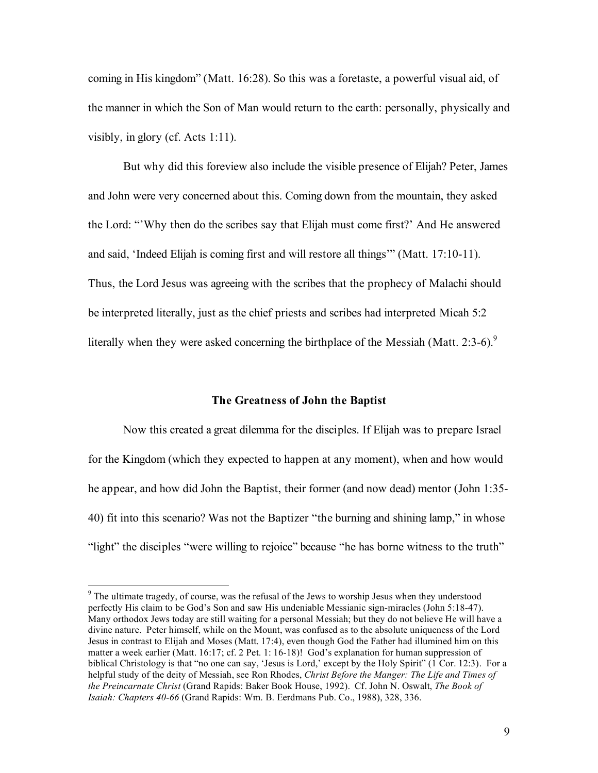coming in His kingdom" (Matt. 16:28). So this was a foretaste, a powerful visual aid, of the manner in which the Son of Man would return to the earth: personally, physically and visibly, in glory (cf. Acts 1:11).

But why did this foreview also include the visible presence of Elijah? Peter, James and John were very concerned about this. Coming down from the mountain, they asked the Lord: "'Why then do the scribes say that Elijah must come first?' And He answered and said, 'Indeed Elijah is coming first and will restore all things'" (Matt. 17:10-11). Thus, the Lord Jesus was agreeing with the scribes that the prophecy of Malachi should be interpreted literally, just as the chief priests and scribes had interpreted Micah 5:2 literally when they were asked concerning the birthplace of the Messiah (Matt. 2:3-6).<sup>9</sup>

## **The Greatness of John the Baptist**

Now this created a great dilemma for the disciples. If Elijah was to prepare Israel for the Kingdom (which they expected to happen at any moment), when and how would he appear, and how did John the Baptist, their former (and now dead) mentor (John 1:35- 40) fit into this scenario? Was not the Baptizer "the burning and shining lamp," in whose "light" the disciples "were willing to rejoice" because "he has borne witness to the truth"

<sup>&</sup>lt;sup>9</sup> The ultimate tragedy, of course, was the refusal of the Jews to worship Jesus when they understood perfectly His claim to be God's Son and saw His undeniable Messianic sign-miracles (John 5:18-47). Many orthodox Jews today are still waiting for a personal Messiah; but they do not believe He will have a divine nature. Peter himself, while on the Mount, was confused as to the absolute uniqueness of the Lord Jesus in contrast to Elijah and Moses (Matt. 17:4), even though God the Father had illumined him on this matter a week earlier (Matt. 16:17; cf. 2 Pet. 1: 16-18)! God's explanation for human suppression of biblical Christology is that "no one can say, 'Jesus is Lord,' except by the Holy Spirit" (1 Cor. 12:3). For a helpful study of the deity of Messiah, see Ron Rhodes, *Christ Before the Manger: The Life and Times of the Preincarnate Christ* (Grand Rapids: Baker Book House, 1992). Cf. John N. Oswalt, *The Book of Isaiah: Chapters 40-66* (Grand Rapids: Wm. B. Eerdmans Pub. Co., 1988), 328, 336.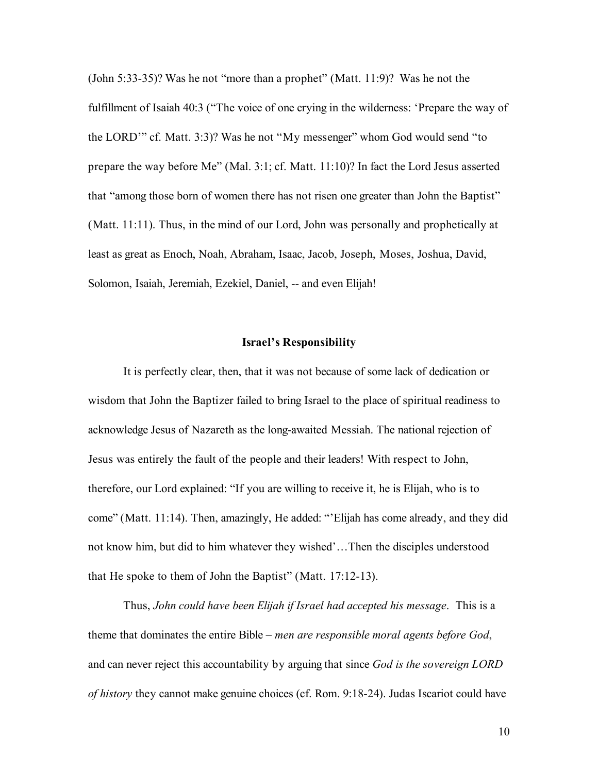(John 5:33-35)? Was he not "more than a prophet" (Matt. 11:9)? Was he not the fulfillment of Isaiah 40:3 ("The voice of one crying in the wilderness: 'Prepare the way of the LORD'" cf. Matt. 3:3)? Was he not "My messenger" whom God would send "to prepare the way before Me" (Mal. 3:1; cf. Matt. 11:10)? In fact the Lord Jesus asserted that "among those born of women there has not risen one greater than John the Baptist" (Matt. 11:11). Thus, in the mind of our Lord, John was personally and prophetically at least as great as Enoch, Noah, Abraham, Isaac, Jacob, Joseph, Moses, Joshua, David, Solomon, Isaiah, Jeremiah, Ezekiel, Daniel, -- and even Elijah!

#### **Israel's Responsibility**

It is perfectly clear, then, that it was not because of some lack of dedication or wisdom that John the Baptizer failed to bring Israel to the place of spiritual readiness to acknowledge Jesus of Nazareth as the long-awaited Messiah. The national rejection of Jesus was entirely the fault of the people and their leaders! With respect to John, therefore, our Lord explained: "If you are willing to receive it, he is Elijah, who is to come" (Matt. 11:14). Then, amazingly, He added: "'Elijah has come already, and they did not know him, but did to him whatever they wished'…Then the disciples understood that He spoke to them of John the Baptist" (Matt. 17:12-13).

Thus, *John could have been Elijah if Israel had accepted his message*. This is a theme that dominates the entire Bible – *men are responsible moral agents before God*, and can never reject this accountability by arguing that since *God is the sovereign LORD of history* they cannot make genuine choices (cf. Rom. 9:18-24). Judas Iscariot could have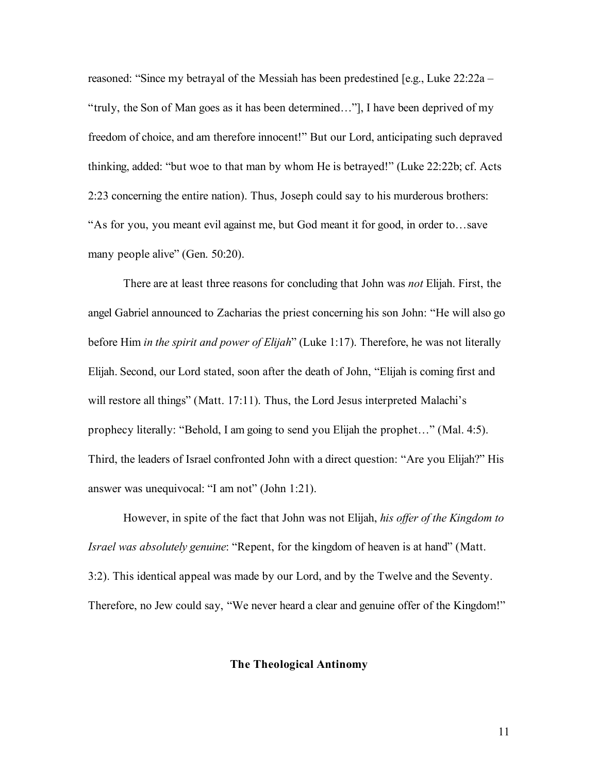reasoned: "Since my betrayal of the Messiah has been predestined [e.g., Luke 22:22a – "truly, the Son of Man goes as it has been determined…"], I have been deprived of my freedom of choice, and am therefore innocent!" But our Lord, anticipating such depraved thinking, added: "but woe to that man by whom He is betrayed!" (Luke 22:22b; cf. Acts 2:23 concerning the entire nation). Thus, Joseph could say to his murderous brothers: "As for you, you meant evil against me, but God meant it for good, in order to…save many people alive" (Gen. 50:20).

There are at least three reasons for concluding that John was *not* Elijah. First, the angel Gabriel announced to Zacharias the priest concerning his son John: "He will also go before Him *in the spirit and power of Elijah*" (Luke 1:17). Therefore, he was not literally Elijah. Second, our Lord stated, soon after the death of John, "Elijah is coming first and will restore all things" (Matt. 17:11). Thus, the Lord Jesus interpreted Malachi's prophecy literally: "Behold, I am going to send you Elijah the prophet…" (Mal. 4:5). Third, the leaders of Israel confronted John with a direct question: "Are you Elijah?" His answer was unequivocal: "I am not" (John 1:21).

However, in spite of the fact that John was not Elijah, *his offer of the Kingdom to Israel was absolutely genuine*: "Repent, for the kingdom of heaven is at hand" (Matt. 3:2). This identical appeal was made by our Lord, and by the Twelve and the Seventy. Therefore, no Jew could say, "We never heard a clear and genuine offer of the Kingdom!"

## **The Theological Antinomy**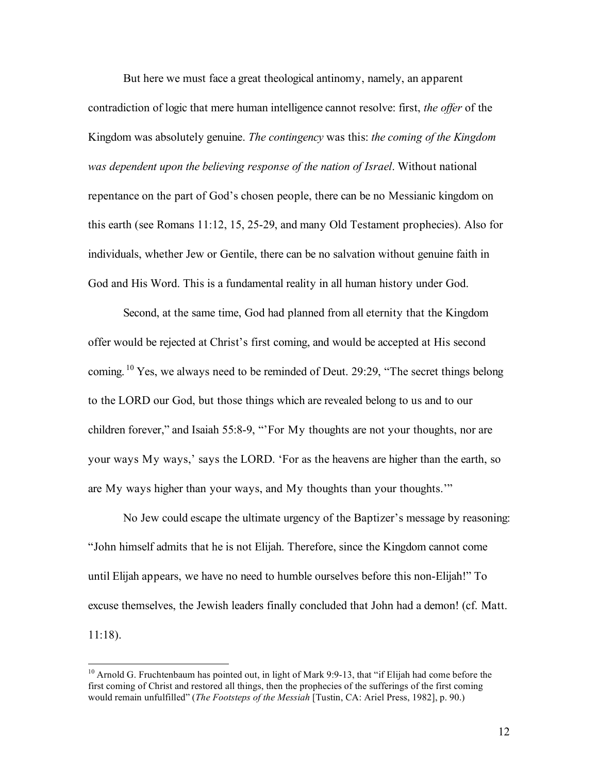But here we must face a great theological antinomy, namely, an apparent contradiction of logic that mere human intelligence cannot resolve: first, *the offer* of the Kingdom was absolutely genuine. *The contingency* was this: *the coming of the Kingdom was dependent upon the believing response of the nation of Israel*. Without national repentance on the part of God's chosen people, there can be no Messianic kingdom on this earth (see Romans 11:12, 15, 25-29, and many Old Testament prophecies). Also for individuals, whether Jew or Gentile, there can be no salvation without genuine faith in God and His Word. This is a fundamental reality in all human history under God.

Second, at the same time, God had planned from all eternity that the Kingdom offer would be rejected at Christ's first coming, and would be accepted at His second coming.<sup>10</sup> Yes, we always need to be reminded of Deut. 29:29, "The secret things belong to the LORD our God, but those things which are revealed belong to us and to our children forever," and Isaiah 55:8-9, "'For My thoughts are not your thoughts, nor are your ways My ways,' says the LORD. 'For as the heavens are higher than the earth, so are My ways higher than your ways, and My thoughts than your thoughts.'"

No Jew could escape the ultimate urgency of the Baptizer's message by reasoning: "John himself admits that he is not Elijah. Therefore, since the Kingdom cannot come until Elijah appears, we have no need to humble ourselves before this non-Elijah!" To excuse themselves, the Jewish leaders finally concluded that John had a demon! (cf. Matt. 11:18).

<sup>&</sup>lt;sup>10</sup> Arnold G. Fruchtenbaum has pointed out, in light of Mark 9:9-13, that "if Elijah had come before the first coming of Christ and restored all things, then the prophecies of the sufferings of the first coming would remain unfulfilled" (*The Footsteps of the Messiah* [Tustin, CA: Ariel Press, 1982], p. 90.)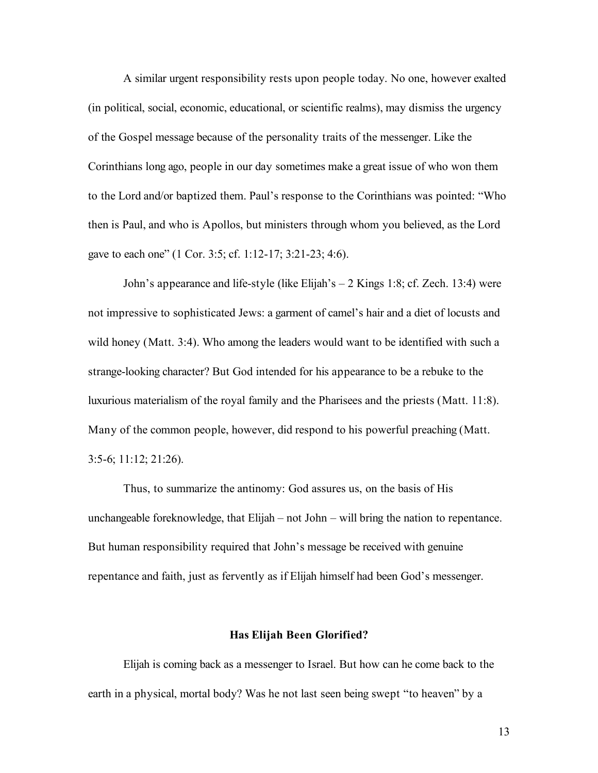A similar urgent responsibility rests upon people today. No one, however exalted (in political, social, economic, educational, or scientific realms), may dismiss the urgency of the Gospel message because of the personality traits of the messenger. Like the Corinthians long ago, people in our day sometimes make a great issue of who won them to the Lord and/or baptized them. Paul's response to the Corinthians was pointed: "Who then is Paul, and who is Apollos, but ministers through whom you believed, as the Lord gave to each one" (1 Cor. 3:5; cf. 1:12-17; 3:21-23; 4:6).

John's appearance and life-style (like Elijah's – 2 Kings 1:8; cf. Zech. 13:4) were not impressive to sophisticated Jews: a garment of camel's hair and a diet of locusts and wild honey (Matt. 3:4). Who among the leaders would want to be identified with such a strange-looking character? But God intended for his appearance to be a rebuke to the luxurious materialism of the royal family and the Pharisees and the priests (Matt. 11:8). Many of the common people, however, did respond to his powerful preaching (Matt. 3:5-6; 11:12; 21:26).

Thus, to summarize the antinomy: God assures us, on the basis of His unchangeable foreknowledge, that Elijah – not John – will bring the nation to repentance. But human responsibility required that John's message be received with genuine repentance and faith, just as fervently as if Elijah himself had been God's messenger.

#### **Has Elijah Been Glorified?**

Elijah is coming back as a messenger to Israel. But how can he come back to the earth in a physical, mortal body? Was he not last seen being swept "to heaven" by a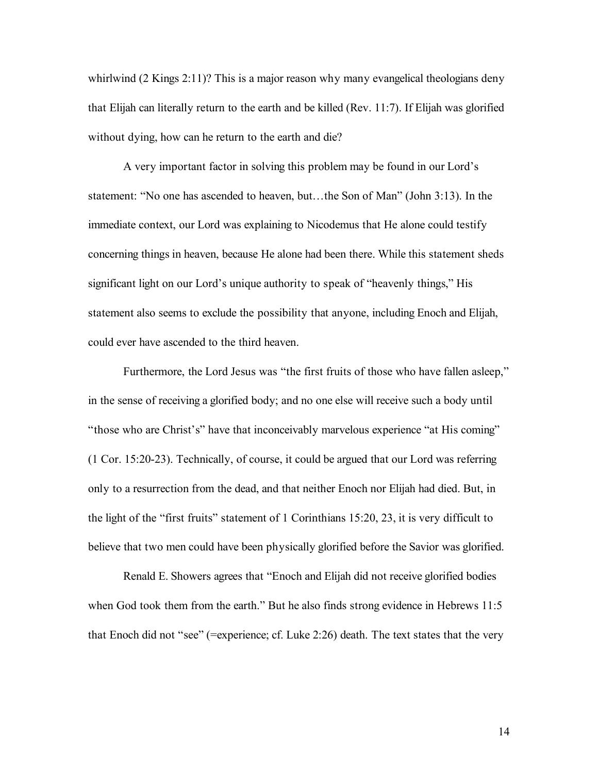whirlwind (2 Kings 2:11)? This is a major reason why many evangelical theologians deny that Elijah can literally return to the earth and be killed (Rev. 11:7). If Elijah was glorified without dying, how can he return to the earth and die?

A very important factor in solving this problem may be found in our Lord's statement: "No one has ascended to heaven, but…the Son of Man" (John 3:13). In the immediate context, our Lord was explaining to Nicodemus that He alone could testify concerning things in heaven, because He alone had been there. While this statement sheds significant light on our Lord's unique authority to speak of "heavenly things," His statement also seems to exclude the possibility that anyone, including Enoch and Elijah, could ever have ascended to the third heaven.

Furthermore, the Lord Jesus was "the first fruits of those who have fallen asleep," in the sense of receiving a glorified body; and no one else will receive such a body until "those who are Christ's" have that inconceivably marvelous experience "at His coming" (1 Cor. 15:20-23). Technically, of course, it could be argued that our Lord was referring only to a resurrection from the dead, and that neither Enoch nor Elijah had died. But, in the light of the "first fruits" statement of 1 Corinthians 15:20, 23, it is very difficult to believe that two men could have been physically glorified before the Savior was glorified.

Renald E. Showers agrees that "Enoch and Elijah did not receive glorified bodies when God took them from the earth." But he also finds strong evidence in Hebrews 11:5 that Enoch did not "see" (=experience; cf. Luke 2:26) death. The text states that the very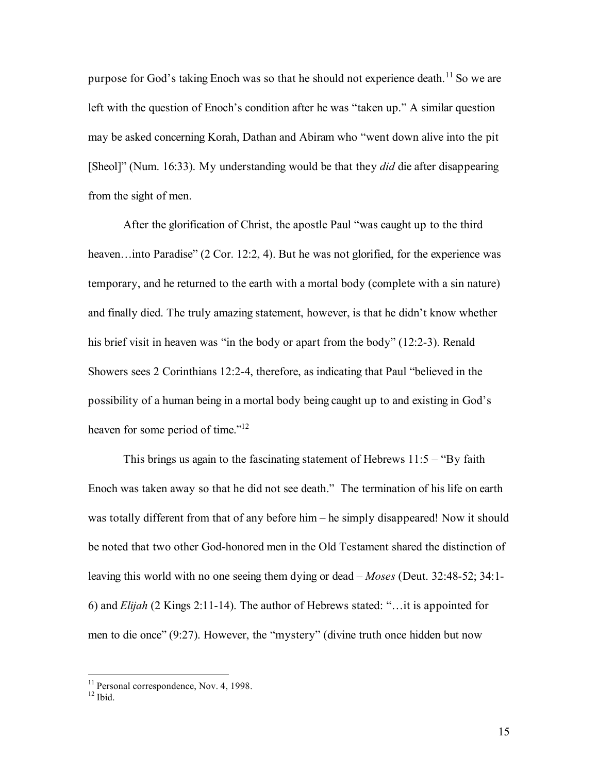purpose for God's taking Enoch was so that he should not experience death.<sup>11</sup> So we are left with the question of Enoch's condition after he was "taken up." A similar question may be asked concerning Korah, Dathan and Abiram who "went down alive into the pit [Sheol]" (Num. 16:33). My understanding would be that they *did* die after disappearing from the sight of men.

After the glorification of Christ, the apostle Paul "was caught up to the third heaven...into Paradise" (2 Cor. 12:2, 4). But he was not glorified, for the experience was temporary, and he returned to the earth with a mortal body (complete with a sin nature) and finally died. The truly amazing statement, however, is that he didn't know whether his brief visit in heaven was "in the body or apart from the body" (12:2-3). Renald Showers sees 2 Corinthians 12:2-4, therefore, as indicating that Paul "believed in the possibility of a human being in a mortal body being caught up to and existing in God's heaven for some period of time."<sup>12</sup>

This brings us again to the fascinating statement of Hebrews  $11:5 -$  "By faith Enoch was taken away so that he did not see death." The termination of his life on earth was totally different from that of any before him – he simply disappeared! Now it should be noted that two other God-honored men in the Old Testament shared the distinction of leaving this world with no one seeing them dying or dead – *Moses* (Deut. 32:48-52; 34:1- 6) and *Elijah* (2 Kings 2:11-14). The author of Hebrews stated: "…it is appointed for men to die once" (9:27). However, the "mystery" (divine truth once hidden but now

 $11$  Personal correspondence, Nov. 4, 1998.<br> $12$  Ibid.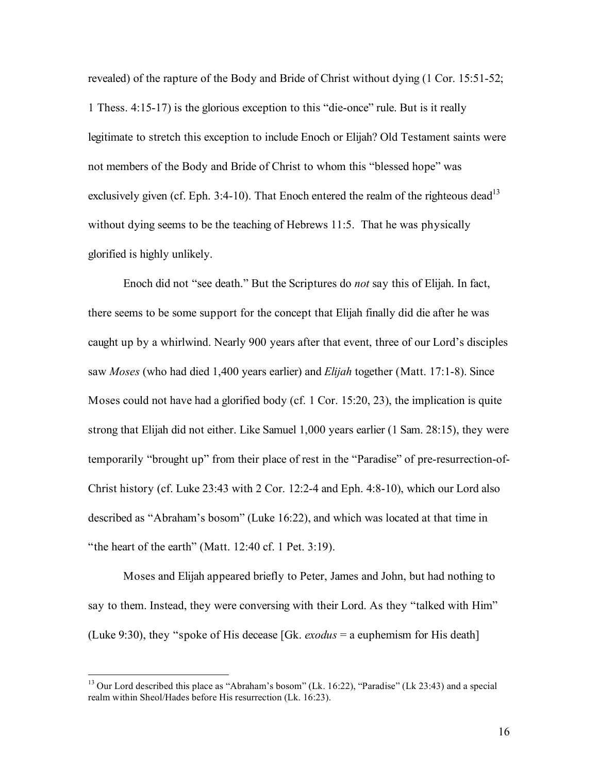revealed) of the rapture of the Body and Bride of Christ without dying (1 Cor. 15:51-52; 1 Thess. 4:15-17) is the glorious exception to this "die-once" rule. But is it really legitimate to stretch this exception to include Enoch or Elijah? Old Testament saints were not members of the Body and Bride of Christ to whom this "blessed hope" was exclusively given (cf. Eph. 3:4-10). That Enoch entered the realm of the righteous dead<sup>13</sup> without dying seems to be the teaching of Hebrews 11:5. That he was physically glorified is highly unlikely.

Enoch did not "see death." But the Scriptures do *not* say this of Elijah. In fact, there seems to be some support for the concept that Elijah finally did die after he was caught up by a whirlwind. Nearly 900 years after that event, three of our Lord's disciples saw *Moses* (who had died 1,400 years earlier) and *Elijah* together (Matt. 17:1-8). Since Moses could not have had a glorified body (cf. 1 Cor. 15:20, 23), the implication is quite strong that Elijah did not either. Like Samuel 1,000 years earlier (1 Sam. 28:15), they were temporarily "brought up" from their place of rest in the "Paradise" of pre-resurrection-of-Christ history (cf. Luke 23:43 with 2 Cor. 12:2-4 and Eph. 4:8-10), which our Lord also described as "Abraham's bosom" (Luke 16:22), and which was located at that time in "the heart of the earth" (Matt. 12:40 cf. 1 Pet. 3:19).

Moses and Elijah appeared briefly to Peter, James and John, but had nothing to say to them. Instead, they were conversing with their Lord. As they "talked with Him" (Luke 9:30), they "spoke of His decease [Gk. *exodus* = a euphemism for His death]

<sup>&</sup>lt;sup>13</sup> Our Lord described this place as "Abraham's bosom" (Lk. 16:22), "Paradise" (Lk 23:43) and a special realm within Sheol/Hades before His resurrection (Lk. 16:23).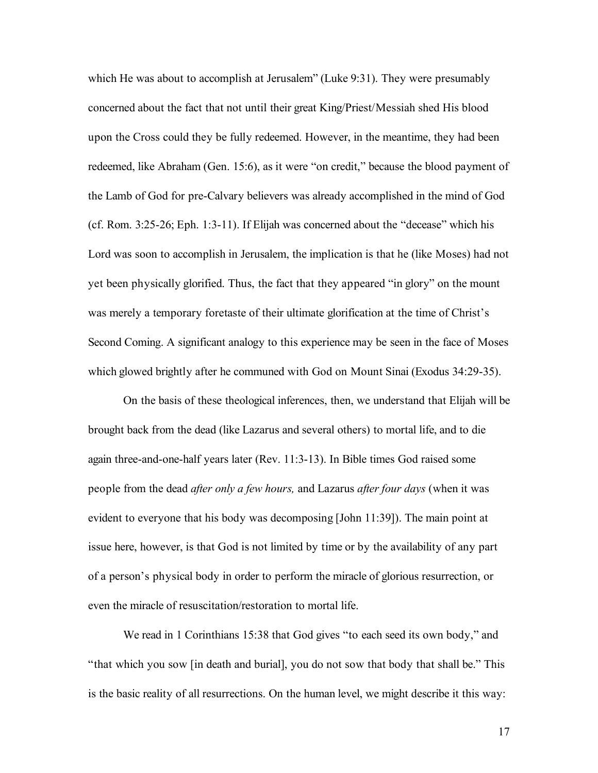which He was about to accomplish at Jerusalem" (Luke 9:31). They were presumably concerned about the fact that not until their great King/Priest/Messiah shed His blood upon the Cross could they be fully redeemed. However, in the meantime, they had been redeemed, like Abraham (Gen. 15:6), as it were "on credit," because the blood payment of the Lamb of God for pre-Calvary believers was already accomplished in the mind of God (cf. Rom. 3:25-26; Eph. 1:3-11). If Elijah was concerned about the "decease" which his Lord was soon to accomplish in Jerusalem, the implication is that he (like Moses) had not yet been physically glorified. Thus, the fact that they appeared "in glory" on the mount was merely a temporary foretaste of their ultimate glorification at the time of Christ's Second Coming. A significant analogy to this experience may be seen in the face of Moses which glowed brightly after he communed with God on Mount Sinai (Exodus 34:29-35).

On the basis of these theological inferences, then, we understand that Elijah will be brought back from the dead (like Lazarus and several others) to mortal life, and to die again three-and-one-half years later (Rev. 11:3-13). In Bible times God raised some people from the dead *after only a few hours,* and Lazarus *after four days* (when it was evident to everyone that his body was decomposing [John 11:39]). The main point at issue here, however, is that God is not limited by time or by the availability of any part of a person's physical body in order to perform the miracle of glorious resurrection, or even the miracle of resuscitation/restoration to mortal life.

We read in 1 Corinthians 15:38 that God gives "to each seed its own body," and "that which you sow [in death and burial], you do not sow that body that shall be." This is the basic reality of all resurrections. On the human level, we might describe it this way: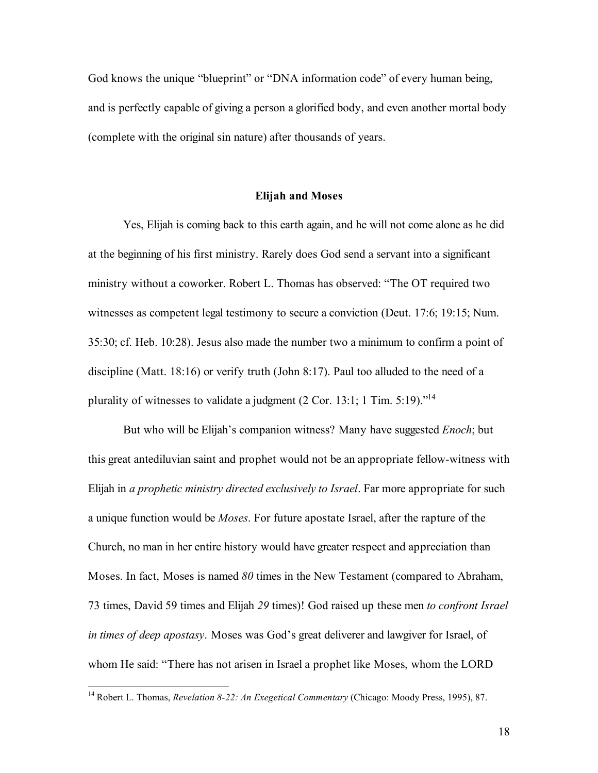God knows the unique "blueprint" or "DNA information code" of every human being, and is perfectly capable of giving a person a glorified body, and even another mortal body (complete with the original sin nature) after thousands of years.

## **Elijah and Moses**

Yes, Elijah is coming back to this earth again, and he will not come alone as he did at the beginning of his first ministry. Rarely does God send a servant into a significant ministry without a coworker. Robert L. Thomas has observed: "The OT required two witnesses as competent legal testimony to secure a conviction (Deut. 17:6; 19:15; Num. 35:30; cf. Heb. 10:28). Jesus also made the number two a minimum to confirm a point of discipline (Matt. 18:16) or verify truth (John 8:17). Paul too alluded to the need of a plurality of witnesses to validate a judgment (2 Cor. 13:1; 1 Tim. 5:19)."<sup>14</sup>

But who will be Elijah's companion witness? Many have suggested *Enoch*; but this great antediluvian saint and prophet would not be an appropriate fellow-witness with Elijah in *a prophetic ministry directed exclusively to Israel*. Far more appropriate for such a unique function would be *Moses*. For future apostate Israel, after the rapture of the Church, no man in her entire history would have greater respect and appreciation than Moses. In fact, Moses is named *80* times in the New Testament (compared to Abraham, 73 times, David 59 times and Elijah *29* times)! God raised up these men *to confront Israel in times of deep apostasy*. Moses was God's great deliverer and lawgiver for Israel, of whom He said: "There has not arisen in Israel a prophet like Moses, whom the LORD

 <sup>14</sup> Robert L. Thomas, *Revelation 8-22: An Exegetical Commentary* (Chicago: Moody Press, 1995), 87.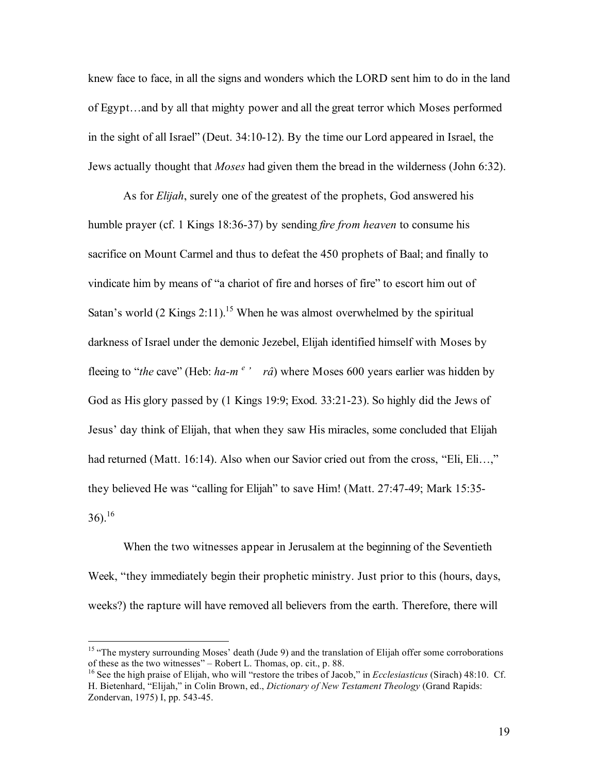knew face to face, in all the signs and wonders which the LORD sent him to do in the land of Egypt…and by all that mighty power and all the great terror which Moses performed in the sight of all Israel" (Deut. 34:10-12). By the time our Lord appeared in Israel, the Jews actually thought that *Moses* had given them the bread in the wilderness (John 6:32).

As for *Elijah*, surely one of the greatest of the prophets, God answered his humble prayer (cf. 1 Kings 18:36-37) by sending *fire from heaven* to consume his sacrifice on Mount Carmel and thus to defeat the 450 prophets of Baal; and finally to vindicate him by means of "a chariot of fire and horses of fire" to escort him out of Satan's world  $(2$  Kings  $2:11)$ .<sup>15</sup> When he was almost overwhelmed by the spiritual darkness of Israel under the demonic Jezebel, Elijah identified himself with Moses by fleeing to "*the* cave" (Heb: *ha-m <sup>e</sup> ' râ*) where Moses 600 years earlier was hidden by God as His glory passed by (1 Kings 19:9; Exod. 33:21-23). So highly did the Jews of Jesus' day think of Elijah, that when they saw His miracles, some concluded that Elijah had returned (Matt. 16:14). Also when our Savior cried out from the cross, "Eli, Eli...," they believed He was "calling for Elijah" to save Him! (Matt. 27:47-49; Mark 15:35-  $(36)^{16}$ 

When the two witnesses appear in Jerusalem at the beginning of the Seventieth Week, "they immediately begin their prophetic ministry. Just prior to this (hours, days, weeks?) the rapture will have removed all believers from the earth. Therefore, there will

<sup>&</sup>lt;sup>15</sup> "The mystery surrounding Moses' death (Jude 9) and the translation of Elijah offer some corroborations of these as the two witnesses" – Robert L. Thomas, op. cit., p. 88.

<sup>&</sup>lt;sup>16</sup> See the high praise of Elijah, who will "restore the tribes of Jacob," in *Ecclesiasticus* (Sirach) 48:10. Cf. H. Bietenhard, "Elijah," in Colin Brown, ed., *Dictionary of New Testament Theology* (Grand Rapids: Zondervan, 1975) I, pp. 543-45.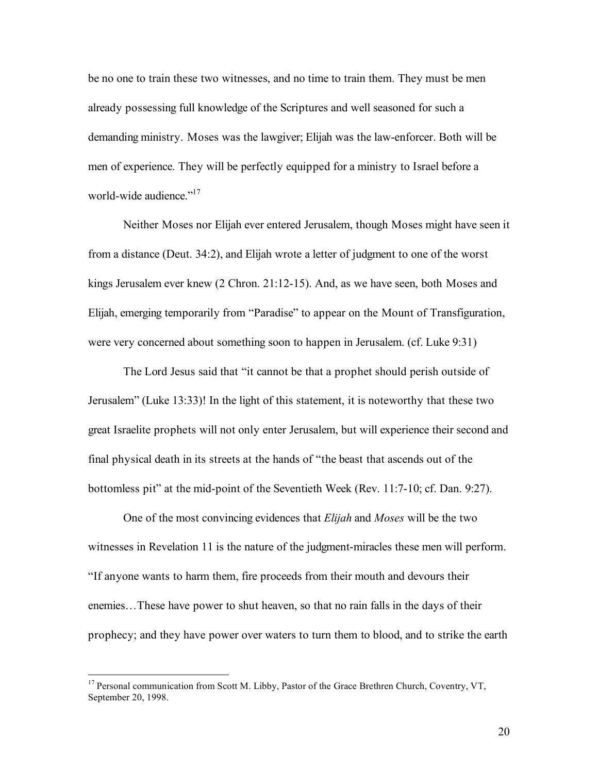be no one to train these two witnesses, and no time to train them. They must be men already possessing full knowledge of the Scriptures and well seasoned for such a demanding ministry. Moses was the lawgiver; Elijah was the law-enforcer. Both will be men of experience. They will be perfectly equipped for a ministry to Israel before a world-wide audience."<sup>17</sup>

Neither Moses nor Elijah ever entered Jerusalem, though Moses might have seen it from a distance (Deut. 34:2), and Elijah wrote a letter of judgment to one of the worst kings Jerusalem ever knew (2 Chron. 21:12-15). And, as we have seen, both Moses and Elijah, emerging temporarily from "Paradise" to appear on the Mount of Transfiguration, were very concerned about something soon to happen in Jerusalem. (cf. Luke 9:31)

The Lord Jesus said that "it cannot be that a prophet should perish outside of Jerusalem" (Luke 13:33)! In the light of this statement, it is noteworthy that these two great Israelite prophets will not only enter Jerusalem, but will experience their second and final physical death in its streets at the hands of "the beast that ascends out of the bottomless pit" at the mid-point of the Seventieth Week (Rev. 11:7-10; cf. Dan. 9:27).

One of the most convincing evidences that *Elijah* and *Moses* will be the two witnesses in Revelation 11 is the nature of the judgment-miracles these men will perform. "If anyone wants to harm them, fire proceeds from their mouth and devours their enemies…These have power to shut heaven, so that no rain falls in the days of their prophecy; and they have power over waters to turn them to blood, and to strike the earth

<sup>&</sup>lt;sup>17</sup> Personal communication from Scott M. Libby, Pastor of the Grace Brethren Church, Coventry, VT, September 20, 1998.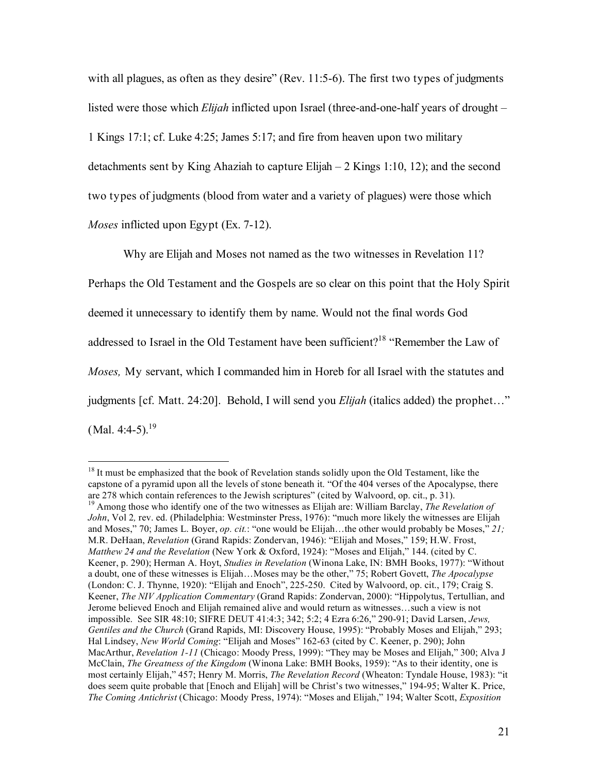with all plagues, as often as they desire" (Rev. 11:5-6). The first two types of judgments listed were those which *Elijah* inflicted upon Israel (three-and-one-half years of drought – 1 Kings 17:1; cf. Luke 4:25; James 5:17; and fire from heaven upon two military detachments sent by King Ahaziah to capture Elijah – 2 Kings 1:10, 12); and the second two types of judgments (blood from water and a variety of plagues) were those which *Moses* inflicted upon Egypt (Ex. 7-12).

Why are Elijah and Moses not named as the two witnesses in Revelation 11? Perhaps the Old Testament and the Gospels are so clear on this point that the Holy Spirit deemed it unnecessary to identify them by name. Would not the final words God addressed to Israel in the Old Testament have been sufficient?<sup>18</sup> "Remember the Law of *Moses,* My servant, which I commanded him in Horeb for all Israel with the statutes and judgments [cf. Matt. 24:20]. Behold, I will send you *Elijah* (italics added) the prophet…"  $(Mal. 4:4-5).^{19}$ 

<sup>&</sup>lt;sup>18</sup> It must be emphasized that the book of Revelation stands solidly upon the Old Testament, like the capstone of a pyramid upon all the levels of stone beneath it. "Of the 404 verses of the Apocalypse, there are <sup>278</sup> which contain references to the Jewish scriptures" (cited by Walvoord, op. cit., p. 31). <sup>19</sup> Among those who identify one of the two witnesses as Elijah are: William Barclay, *The Revelation of*

*John*, Vol 2*,* rev. ed. (Philadelphia: Westminster Press, 1976): "much more likely the witnesses are Elijah and Moses," 70; James L. Boyer, *op. cit.*: "one would be Elijah…the other would probably be Moses," *21;* M.R. DeHaan, *Revelation* (Grand Rapids: Zondervan, 1946): "Elijah and Moses," 159; H.W. Frost, *Matthew 24 and the Revelation* (New York & Oxford, 1924): "Moses and Elijah," 144. (cited by C. Keener, p. 290); Herman A. Hoyt, *Studies in Revelation* (Winona Lake, IN: BMH Books, 1977): "Without a doubt, one of these witnesses is Elijah…Moses may be the other," 75; Robert Govett, *The Apocalypse* (London: C. J. Thynne, 1920): "Elijah and Enoch", 225-250. Cited by Walvoord, op. cit., 179; Craig S. Keener, *The NIV Application Commentary* (Grand Rapids: Zondervan, 2000): "Hippolytus, Tertullian, and Jerome believed Enoch and Elijah remained alive and would return as witnesses…such a view is not impossible. See SIR 48:10; SIFRE DEUT 41:4:3; 342; 5:2; 4 Ezra 6:26," 290-91; David Larsen, *Jews, Gentiles and the Church* (Grand Rapids, MI: Discovery House, 1995): "Probably Moses and Elijah," 293; Hal Lindsey, *New World Coming*: "Elijah and Moses" 162-63 (cited by C. Keener, p. 290); John MacArthur, *Revelation 1-11* (Chicago: Moody Press, 1999): "They may be Moses and Elijah," 300; Alva J McClain, *The Greatness of the Kingdom* (Winona Lake: BMH Books, 1959): "As to their identity, one is most certainly Elijah," 457; Henry M. Morris, *The Revelation Record* (Wheaton: Tyndale House, 1983): "it does seem quite probable that [Enoch and Elijah] will be Christ's two witnesses," 194-95; Walter K. Price, *The Coming Antichrist* (Chicago: Moody Press, 1974): "Moses and Elijah," 194; Walter Scott, *Exposition*